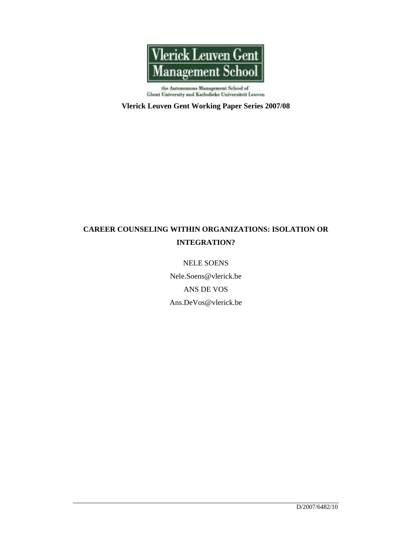

Ghent University and Katholicke Universiteit Leuven

## **Vlerick Leuven Gent Working Paper Series 2007/08**

# **CAREER COUNSELING WITHIN ORGANIZATIONS: ISOLATION OR INTEGRATION?**

## NELE SOENS

Nele.Soens@vlerick.be ANS DE VOS Ans.DeVos@vlerick.be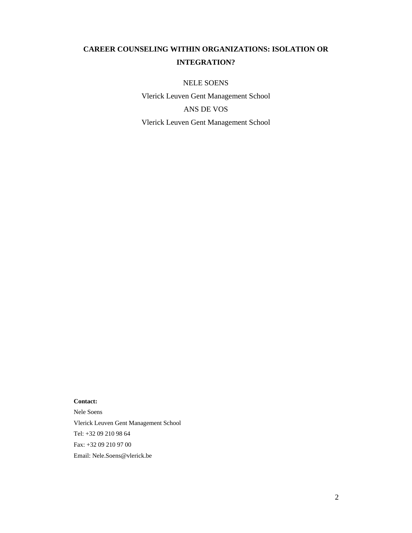# **CAREER COUNSELING WITHIN ORGANIZATIONS: ISOLATION OR INTEGRATION?**

NELE SOENS

Vlerick Leuven Gent Management School ANS DE VOS Vlerick Leuven Gent Management School

### **Contact:**

Nele Soens Vlerick Leuven Gent Management School Tel: +32 09 210 98 64 Fax: +32 09 210 97 00 Email: Nele.Soens@vlerick.be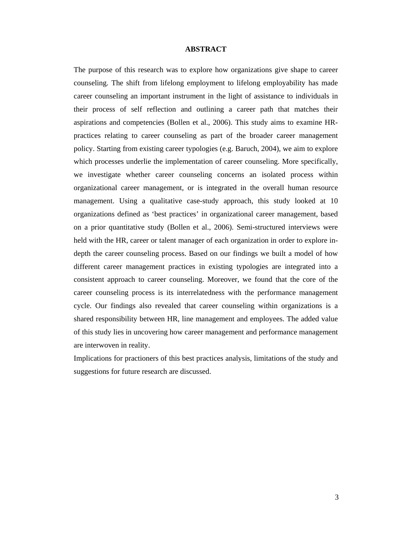#### **ABSTRACT**

The purpose of this research was to explore how organizations give shape to career counseling. The shift from lifelong employment to lifelong employability has made career counseling an important instrument in the light of assistance to individuals in their process of self reflection and outlining a career path that matches their aspirations and competencies (Bollen et al., 2006). This study aims to examine HRpractices relating to career counseling as part of the broader career management policy. Starting from existing career typologies (e.g. Baruch, 2004), we aim to explore which processes underlie the implementation of career counseling. More specifically, we investigate whether career counseling concerns an isolated process within organizational career management, or is integrated in the overall human resource management. Using a qualitative case-study approach, this study looked at 10 organizations defined as 'best practices' in organizational career management, based on a prior quantitative study (Bollen et al., 2006). Semi-structured interviews were held with the HR, career or talent manager of each organization in order to explore indepth the career counseling process. Based on our findings we built a model of how different career management practices in existing typologies are integrated into a consistent approach to career counseling. Moreover, we found that the core of the career counseling process is its interrelatedness with the performance management cycle. Our findings also revealed that career counseling within organizations is a shared responsibility between HR, line management and employees. The added value of this study lies in uncovering how career management and performance management are interwoven in reality.

Implications for practioners of this best practices analysis, limitations of the study and suggestions for future research are discussed.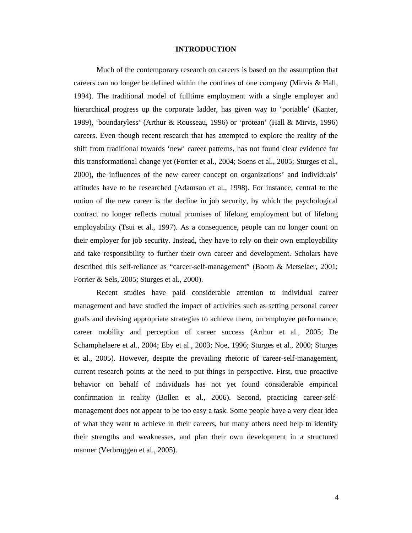#### **INTRODUCTION**

Much of the contemporary research on careers is based on the assumption that careers can no longer be defined within the confines of one company (Mirvis & Hall, 1994). The traditional model of fulltime employment with a single employer and hierarchical progress up the corporate ladder, has given way to 'portable' (Kanter, 1989), 'boundaryless' (Arthur & Rousseau, 1996) or 'protean' (Hall & Mirvis, 1996) careers. Even though recent research that has attempted to explore the reality of the shift from traditional towards 'new' career patterns, has not found clear evidence for this transformational change yet (Forrier et al., 2004; Soens et al., 2005; Sturges et al., 2000), the influences of the new career concept on organizations' and individuals' attitudes have to be researched (Adamson et al., 1998). For instance, central to the notion of the new career is the decline in job security, by which the psychological contract no longer reflects mutual promises of lifelong employment but of lifelong employability (Tsui et al., 1997). As a consequence, people can no longer count on their employer for job security. Instead, they have to rely on their own employability and take responsibility to further their own career and development. Scholars have described this self-reliance as "career-self-management" (Boom & Metselaer, 2001; Forrier & Sels, 2005; Sturges et al., 2000).

Recent studies have paid considerable attention to individual career management and have studied the impact of activities such as setting personal career goals and devising appropriate strategies to achieve them, on employee performance, career mobility and perception of career success (Arthur et al., 2005; De Schamphelaere et al., 2004; Eby et al., 2003; Noe, 1996; Sturges et al., 2000; Sturges et al., 2005). However, despite the prevailing rhetoric of career-self-management, current research points at the need to put things in perspective. First, true proactive behavior on behalf of individuals has not yet found considerable empirical confirmation in reality (Bollen et al., 2006). Second, practicing career-selfmanagement does not appear to be too easy a task. Some people have a very clear idea of what they want to achieve in their careers, but many others need help to identify their strengths and weaknesses, and plan their own development in a structured manner (Verbruggen et al., 2005).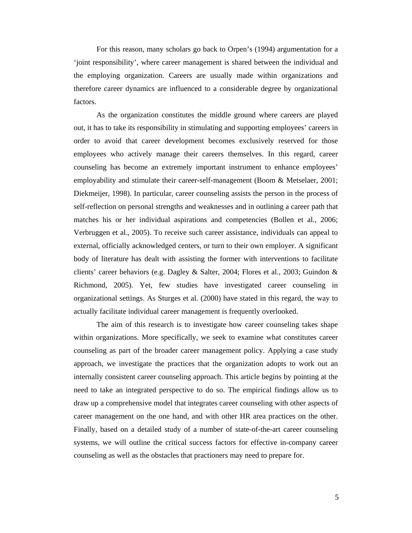For this reason, many scholars go back to Orpen's (1994) argumentation for a 'joint responsibility', where career management is shared between the individual and the employing organization. Careers are usually made within organizations and therefore career dynamics are influenced to a considerable degree by organizational factors.

As the organization constitutes the middle ground where careers are played out, it has to take its responsibility in stimulating and supporting employees' careers in order to avoid that career development becomes exclusively reserved for those employees who actively manage their careers themselves. In this regard, career counseling has become an extremely important instrument to enhance employees' employability and stimulate their career-self-management (Boom & Metselaer, 2001; Diekmeijer, 1998). In particular, career counseling assists the person in the process of self-reflection on personal strengths and weaknesses and in outlining a career path that matches his or her individual aspirations and competencies (Bollen et al., 2006; Verbruggen et al., 2005). To receive such career assistance, individuals can appeal to external, officially acknowledged centers, or turn to their own employer. A significant body of literature has dealt with assisting the former with interventions to facilitate clients' career behaviors (e.g. Dagley & Salter, 2004; Flores et al., 2003; Guindon & Richmond, 2005). Yet, few studies have investigated career counseling in organizational settings. As Sturges et al. (2000) have stated in this regard, the way to actually facilitate individual career management is frequently overlooked.

The aim of this research is to investigate how career counseling takes shape within organizations. More specifically, we seek to examine what constitutes career counseling as part of the broader career management policy. Applying a case study approach, we investigate the practices that the organization adopts to work out an internally consistent career counseling approach. This article begins by pointing at the need to take an integrated perspective to do so. The empirical findings allow us to draw up a comprehensive model that integrates career counseling with other aspects of career management on the one hand, and with other HR area practices on the other. Finally, based on a detailed study of a number of state-of-the-art career counseling systems, we will outline the critical success factors for effective in-company career counseling as well as the obstacles that practioners may need to prepare for.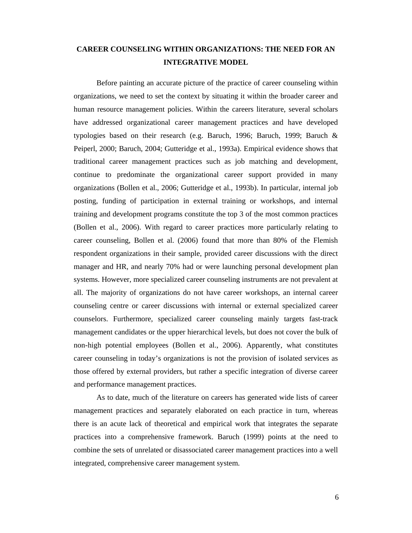## **CAREER COUNSELING WITHIN ORGANIZATIONS: THE NEED FOR AN INTEGRATIVE MODEL**

Before painting an accurate picture of the practice of career counseling within organizations, we need to set the context by situating it within the broader career and human resource management policies. Within the careers literature, several scholars have addressed organizational career management practices and have developed typologies based on their research (e.g. Baruch, 1996; Baruch, 1999; Baruch  $\&$ Peiperl, 2000; Baruch, 2004; Gutteridge et al., 1993a). Empirical evidence shows that traditional career management practices such as job matching and development, continue to predominate the organizational career support provided in many organizations (Bollen et al., 2006; Gutteridge et al., 1993b). In particular, internal job posting, funding of participation in external training or workshops, and internal training and development programs constitute the top 3 of the most common practices (Bollen et al., 2006). With regard to career practices more particularly relating to career counseling, Bollen et al. (2006) found that more than 80% of the Flemish respondent organizations in their sample, provided career discussions with the direct manager and HR, and nearly 70% had or were launching personal development plan systems. However, more specialized career counseling instruments are not prevalent at all. The majority of organizations do not have career workshops, an internal career counseling centre or career discussions with internal or external specialized career counselors. Furthermore, specialized career counseling mainly targets fast-track management candidates or the upper hierarchical levels, but does not cover the bulk of non-high potential employees (Bollen et al., 2006). Apparently, what constitutes career counseling in today's organizations is not the provision of isolated services as those offered by external providers, but rather a specific integration of diverse career and performance management practices.

As to date, much of the literature on careers has generated wide lists of career management practices and separately elaborated on each practice in turn, whereas there is an acute lack of theoretical and empirical work that integrates the separate practices into a comprehensive framework. Baruch (1999) points at the need to combine the sets of unrelated or disassociated career management practices into a well integrated, comprehensive career management system.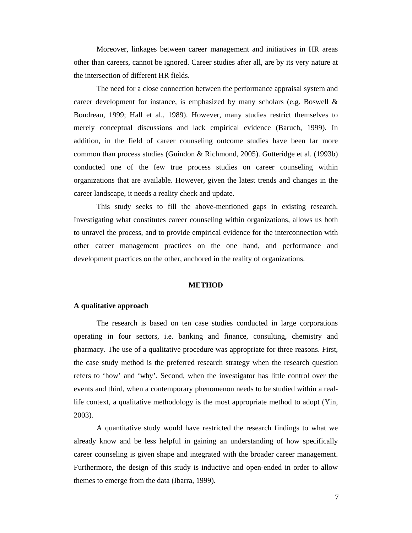Moreover, linkages between career management and initiatives in HR areas other than careers, cannot be ignored. Career studies after all, are by its very nature at the intersection of different HR fields.

The need for a close connection between the performance appraisal system and career development for instance, is emphasized by many scholars (e.g. Boswell  $\&$ Boudreau, 1999; Hall et al., 1989). However, many studies restrict themselves to merely conceptual discussions and lack empirical evidence (Baruch, 1999). In addition, in the field of career counseling outcome studies have been far more common than process studies (Guindon & Richmond, 2005). Gutteridge et al. (1993b) conducted one of the few true process studies on career counseling within organizations that are available. However, given the latest trends and changes in the career landscape, it needs a reality check and update.

This study seeks to fill the above-mentioned gaps in existing research. Investigating what constitutes career counseling within organizations, allows us both to unravel the process, and to provide empirical evidence for the interconnection with other career management practices on the one hand, and performance and development practices on the other, anchored in the reality of organizations.

#### **METHOD**

#### **A qualitative approach**

The research is based on ten case studies conducted in large corporations operating in four sectors, i.e. banking and finance, consulting, chemistry and pharmacy. The use of a qualitative procedure was appropriate for three reasons. First, the case study method is the preferred research strategy when the research question refers to 'how' and 'why'. Second, when the investigator has little control over the events and third, when a contemporary phenomenon needs to be studied within a reallife context, a qualitative methodology is the most appropriate method to adopt (Yin, 2003).

A quantitative study would have restricted the research findings to what we already know and be less helpful in gaining an understanding of how specifically career counseling is given shape and integrated with the broader career management. Furthermore, the design of this study is inductive and open-ended in order to allow themes to emerge from the data (Ibarra, 1999).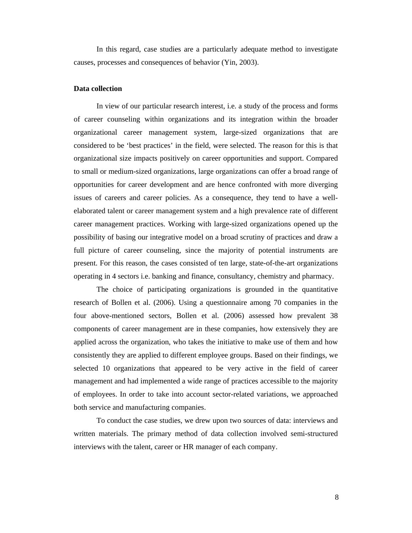In this regard, case studies are a particularly adequate method to investigate causes, processes and consequences of behavior (Yin, 2003).

#### **Data collection**

In view of our particular research interest, i.e. a study of the process and forms of career counseling within organizations and its integration within the broader organizational career management system, large-sized organizations that are considered to be 'best practices' in the field, were selected. The reason for this is that organizational size impacts positively on career opportunities and support. Compared to small or medium-sized organizations, large organizations can offer a broad range of opportunities for career development and are hence confronted with more diverging issues of careers and career policies. As a consequence, they tend to have a wellelaborated talent or career management system and a high prevalence rate of different career management practices. Working with large-sized organizations opened up the possibility of basing our integrative model on a broad scrutiny of practices and draw a full picture of career counseling, since the majority of potential instruments are present. For this reason, the cases consisted of ten large, state-of-the-art organizations operating in 4 sectors i.e. banking and finance, consultancy, chemistry and pharmacy.

The choice of participating organizations is grounded in the quantitative research of Bollen et al. (2006). Using a questionnaire among 70 companies in the four above-mentioned sectors, Bollen et al. (2006) assessed how prevalent 38 components of career management are in these companies, how extensively they are applied across the organization, who takes the initiative to make use of them and how consistently they are applied to different employee groups. Based on their findings, we selected 10 organizations that appeared to be very active in the field of career management and had implemented a wide range of practices accessible to the majority of employees. In order to take into account sector-related variations, we approached both service and manufacturing companies.

To conduct the case studies, we drew upon two sources of data: interviews and written materials. The primary method of data collection involved semi-structured interviews with the talent, career or HR manager of each company.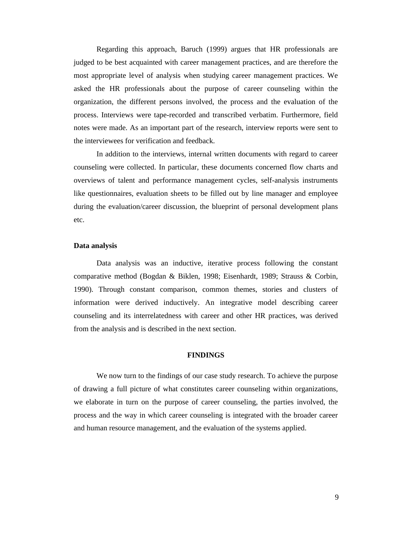Regarding this approach, Baruch (1999) argues that HR professionals are judged to be best acquainted with career management practices, and are therefore the most appropriate level of analysis when studying career management practices. We asked the HR professionals about the purpose of career counseling within the organization, the different persons involved, the process and the evaluation of the process. Interviews were tape-recorded and transcribed verbatim. Furthermore, field notes were made. As an important part of the research, interview reports were sent to the interviewees for verification and feedback.

In addition to the interviews, internal written documents with regard to career counseling were collected. In particular, these documents concerned flow charts and overviews of talent and performance management cycles, self-analysis instruments like questionnaires, evaluation sheets to be filled out by line manager and employee during the evaluation/career discussion, the blueprint of personal development plans etc.

#### **Data analysis**

Data analysis was an inductive, iterative process following the constant comparative method (Bogdan & Biklen, 1998; Eisenhardt, 1989; Strauss & Corbin, 1990). Through constant comparison, common themes, stories and clusters of information were derived inductively. An integrative model describing career counseling and its interrelatedness with career and other HR practices, was derived from the analysis and is described in the next section.

#### **FINDINGS**

We now turn to the findings of our case study research. To achieve the purpose of drawing a full picture of what constitutes career counseling within organizations, we elaborate in turn on the purpose of career counseling, the parties involved, the process and the way in which career counseling is integrated with the broader career and human resource management, and the evaluation of the systems applied.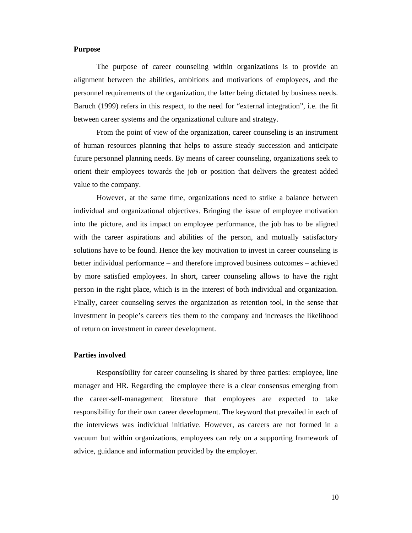#### **Purpose**

The purpose of career counseling within organizations is to provide an alignment between the abilities, ambitions and motivations of employees, and the personnel requirements of the organization, the latter being dictated by business needs. Baruch (1999) refers in this respect, to the need for "external integration", i.e. the fit between career systems and the organizational culture and strategy.

From the point of view of the organization, career counseling is an instrument of human resources planning that helps to assure steady succession and anticipate future personnel planning needs. By means of career counseling, organizations seek to orient their employees towards the job or position that delivers the greatest added value to the company.

However, at the same time, organizations need to strike a balance between individual and organizational objectives. Bringing the issue of employee motivation into the picture, and its impact on employee performance, the job has to be aligned with the career aspirations and abilities of the person, and mutually satisfactory solutions have to be found. Hence the key motivation to invest in career counseling is better individual performance – and therefore improved business outcomes – achieved by more satisfied employees. In short, career counseling allows to have the right person in the right place, which is in the interest of both individual and organization. Finally, career counseling serves the organization as retention tool, in the sense that investment in people's careers ties them to the company and increases the likelihood of return on investment in career development.

#### **Parties involved**

Responsibility for career counseling is shared by three parties: employee, line manager and HR. Regarding the employee there is a clear consensus emerging from the career-self-management literature that employees are expected to take responsibility for their own career development. The keyword that prevailed in each of the interviews was individual initiative. However, as careers are not formed in a vacuum but within organizations, employees can rely on a supporting framework of advice, guidance and information provided by the employer.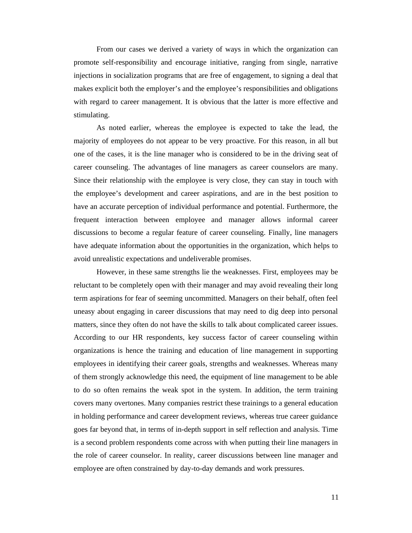From our cases we derived a variety of ways in which the organization can promote self-responsibility and encourage initiative, ranging from single, narrative injections in socialization programs that are free of engagement, to signing a deal that makes explicit both the employer's and the employee's responsibilities and obligations with regard to career management. It is obvious that the latter is more effective and stimulating.

As noted earlier, whereas the employee is expected to take the lead, the majority of employees do not appear to be very proactive. For this reason, in all but one of the cases, it is the line manager who is considered to be in the driving seat of career counseling. The advantages of line managers as career counselors are many. Since their relationship with the employee is very close, they can stay in touch with the employee's development and career aspirations, and are in the best position to have an accurate perception of individual performance and potential. Furthermore, the frequent interaction between employee and manager allows informal career discussions to become a regular feature of career counseling. Finally, line managers have adequate information about the opportunities in the organization, which helps to avoid unrealistic expectations and undeliverable promises.

However, in these same strengths lie the weaknesses. First, employees may be reluctant to be completely open with their manager and may avoid revealing their long term aspirations for fear of seeming uncommitted. Managers on their behalf, often feel uneasy about engaging in career discussions that may need to dig deep into personal matters, since they often do not have the skills to talk about complicated career issues. According to our HR respondents, key success factor of career counseling within organizations is hence the training and education of line management in supporting employees in identifying their career goals, strengths and weaknesses. Whereas many of them strongly acknowledge this need, the equipment of line management to be able to do so often remains the weak spot in the system. In addition, the term training covers many overtones. Many companies restrict these trainings to a general education in holding performance and career development reviews, whereas true career guidance goes far beyond that, in terms of in-depth support in self reflection and analysis. Time is a second problem respondents come across with when putting their line managers in the role of career counselor. In reality, career discussions between line manager and employee are often constrained by day-to-day demands and work pressures.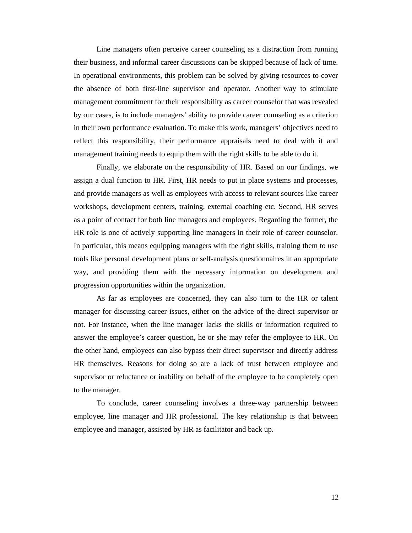Line managers often perceive career counseling as a distraction from running their business, and informal career discussions can be skipped because of lack of time. In operational environments, this problem can be solved by giving resources to cover the absence of both first-line supervisor and operator. Another way to stimulate management commitment for their responsibility as career counselor that was revealed by our cases, is to include managers' ability to provide career counseling as a criterion in their own performance evaluation. To make this work, managers' objectives need to reflect this responsibility, their performance appraisals need to deal with it and management training needs to equip them with the right skills to be able to do it.

Finally, we elaborate on the responsibility of HR. Based on our findings, we assign a dual function to HR. First, HR needs to put in place systems and processes, and provide managers as well as employees with access to relevant sources like career workshops, development centers, training, external coaching etc. Second, HR serves as a point of contact for both line managers and employees. Regarding the former, the HR role is one of actively supporting line managers in their role of career counselor. In particular, this means equipping managers with the right skills, training them to use tools like personal development plans or self-analysis questionnaires in an appropriate way, and providing them with the necessary information on development and progression opportunities within the organization.

As far as employees are concerned, they can also turn to the HR or talent manager for discussing career issues, either on the advice of the direct supervisor or not. For instance, when the line manager lacks the skills or information required to answer the employee's career question, he or she may refer the employee to HR. On the other hand, employees can also bypass their direct supervisor and directly address HR themselves. Reasons for doing so are a lack of trust between employee and supervisor or reluctance or inability on behalf of the employee to be completely open to the manager.

To conclude, career counseling involves a three-way partnership between employee, line manager and HR professional. The key relationship is that between employee and manager, assisted by HR as facilitator and back up.

12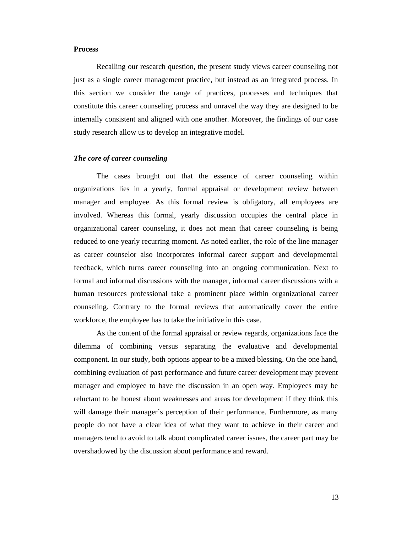#### **Process**

Recalling our research question, the present study views career counseling not just as a single career management practice, but instead as an integrated process. In this section we consider the range of practices, processes and techniques that constitute this career counseling process and unravel the way they are designed to be internally consistent and aligned with one another. Moreover, the findings of our case study research allow us to develop an integrative model.

#### *The core of career counseling*

The cases brought out that the essence of career counseling within organizations lies in a yearly, formal appraisal or development review between manager and employee. As this formal review is obligatory, all employees are involved. Whereas this formal, yearly discussion occupies the central place in organizational career counseling, it does not mean that career counseling is being reduced to one yearly recurring moment. As noted earlier, the role of the line manager as career counselor also incorporates informal career support and developmental feedback, which turns career counseling into an ongoing communication. Next to formal and informal discussions with the manager, informal career discussions with a human resources professional take a prominent place within organizational career counseling. Contrary to the formal reviews that automatically cover the entire workforce, the employee has to take the initiative in this case.

As the content of the formal appraisal or review regards, organizations face the dilemma of combining versus separating the evaluative and developmental component. In our study, both options appear to be a mixed blessing. On the one hand, combining evaluation of past performance and future career development may prevent manager and employee to have the discussion in an open way. Employees may be reluctant to be honest about weaknesses and areas for development if they think this will damage their manager's perception of their performance. Furthermore, as many people do not have a clear idea of what they want to achieve in their career and managers tend to avoid to talk about complicated career issues, the career part may be overshadowed by the discussion about performance and reward.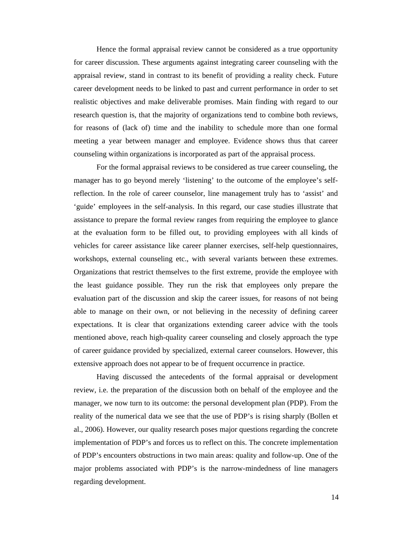Hence the formal appraisal review cannot be considered as a true opportunity for career discussion. These arguments against integrating career counseling with the appraisal review, stand in contrast to its benefit of providing a reality check. Future career development needs to be linked to past and current performance in order to set realistic objectives and make deliverable promises. Main finding with regard to our research question is, that the majority of organizations tend to combine both reviews, for reasons of (lack of) time and the inability to schedule more than one formal meeting a year between manager and employee. Evidence shows thus that career counseling within organizations is incorporated as part of the appraisal process.

For the formal appraisal reviews to be considered as true career counseling, the manager has to go beyond merely 'listening' to the outcome of the employee's selfreflection. In the role of career counselor, line management truly has to 'assist' and 'guide' employees in the self-analysis. In this regard, our case studies illustrate that assistance to prepare the formal review ranges from requiring the employee to glance at the evaluation form to be filled out, to providing employees with all kinds of vehicles for career assistance like career planner exercises, self-help questionnaires, workshops, external counseling etc., with several variants between these extremes. Organizations that restrict themselves to the first extreme, provide the employee with the least guidance possible. They run the risk that employees only prepare the evaluation part of the discussion and skip the career issues, for reasons of not being able to manage on their own, or not believing in the necessity of defining career expectations. It is clear that organizations extending career advice with the tools mentioned above, reach high-quality career counseling and closely approach the type of career guidance provided by specialized, external career counselors. However, this extensive approach does not appear to be of frequent occurrence in practice.

Having discussed the antecedents of the formal appraisal or development review, i.e. the preparation of the discussion both on behalf of the employee and the manager, we now turn to its outcome: the personal development plan (PDP). From the reality of the numerical data we see that the use of PDP's is rising sharply (Bollen et al., 2006). However, our quality research poses major questions regarding the concrete implementation of PDP's and forces us to reflect on this. The concrete implementation of PDP's encounters obstructions in two main areas: quality and follow-up. One of the major problems associated with PDP's is the narrow-mindedness of line managers regarding development.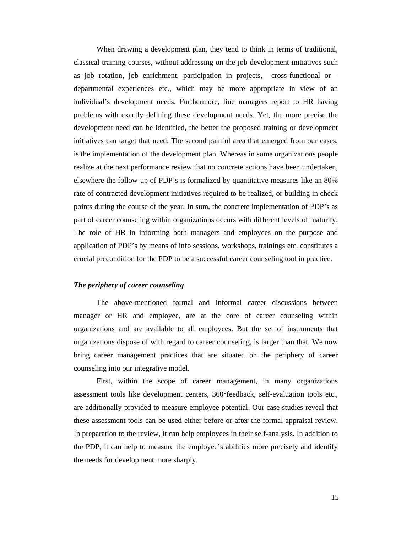When drawing a development plan, they tend to think in terms of traditional, classical training courses, without addressing on-the-job development initiatives such as job rotation, job enrichment, participation in projects, cross-functional or departmental experiences etc., which may be more appropriate in view of an individual's development needs. Furthermore, line managers report to HR having problems with exactly defining these development needs. Yet, the more precise the development need can be identified, the better the proposed training or development initiatives can target that need. The second painful area that emerged from our cases, is the implementation of the development plan. Whereas in some organizations people realize at the next performance review that no concrete actions have been undertaken, elsewhere the follow-up of PDP's is formalized by quantitative measures like an 80% rate of contracted development initiatives required to be realized, or building in check points during the course of the year. In sum, the concrete implementation of PDP's as part of career counseling within organizations occurs with different levels of maturity. The role of HR in informing both managers and employees on the purpose and application of PDP's by means of info sessions, workshops, trainings etc. constitutes a crucial precondition for the PDP to be a successful career counseling tool in practice.

#### *The periphery of career counseling*

The above-mentioned formal and informal career discussions between manager or HR and employee, are at the core of career counseling within organizations and are available to all employees. But the set of instruments that organizations dispose of with regard to career counseling, is larger than that. We now bring career management practices that are situated on the periphery of career counseling into our integrative model.

First, within the scope of career management, in many organizations assessment tools like development centers, 360°feedback, self-evaluation tools etc., are additionally provided to measure employee potential. Our case studies reveal that these assessment tools can be used either before or after the formal appraisal review. In preparation to the review, it can help employees in their self-analysis. In addition to the PDP, it can help to measure the employee's abilities more precisely and identify the needs for development more sharply.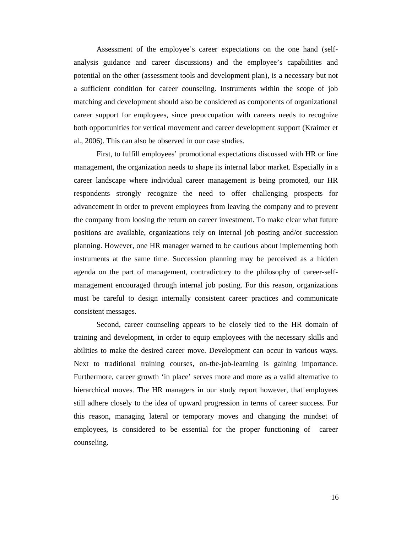Assessment of the employee's career expectations on the one hand (selfanalysis guidance and career discussions) and the employee's capabilities and potential on the other (assessment tools and development plan), is a necessary but not a sufficient condition for career counseling. Instruments within the scope of job matching and development should also be considered as components of organizational career support for employees, since preoccupation with careers needs to recognize both opportunities for vertical movement and career development support (Kraimer et al., 2006). This can also be observed in our case studies.

First, to fulfill employees' promotional expectations discussed with HR or line management, the organization needs to shape its internal labor market. Especially in a career landscape where individual career management is being promoted, our HR respondents strongly recognize the need to offer challenging prospects for advancement in order to prevent employees from leaving the company and to prevent the company from loosing the return on career investment. To make clear what future positions are available, organizations rely on internal job posting and/or succession planning. However, one HR manager warned to be cautious about implementing both instruments at the same time. Succession planning may be perceived as a hidden agenda on the part of management, contradictory to the philosophy of career-selfmanagement encouraged through internal job posting. For this reason, organizations must be careful to design internally consistent career practices and communicate consistent messages.

Second, career counseling appears to be closely tied to the HR domain of training and development, in order to equip employees with the necessary skills and abilities to make the desired career move. Development can occur in various ways. Next to traditional training courses, on-the-job-learning is gaining importance. Furthermore, career growth 'in place' serves more and more as a valid alternative to hierarchical moves. The HR managers in our study report however, that employees still adhere closely to the idea of upward progression in terms of career success. For this reason, managing lateral or temporary moves and changing the mindset of employees, is considered to be essential for the proper functioning of career counseling.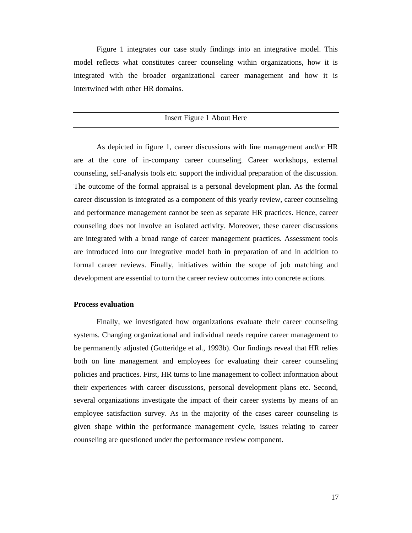Figure 1 integrates our case study findings into an integrative model. This model reflects what constitutes career counseling within organizations, how it is integrated with the broader organizational career management and how it is intertwined with other HR domains.

#### Insert Figure 1 About Here

As depicted in figure 1, career discussions with line management and/or HR are at the core of in-company career counseling. Career workshops, external counseling, self-analysis tools etc. support the individual preparation of the discussion. The outcome of the formal appraisal is a personal development plan. As the formal career discussion is integrated as a component of this yearly review, career counseling and performance management cannot be seen as separate HR practices. Hence, career counseling does not involve an isolated activity. Moreover, these career discussions are integrated with a broad range of career management practices. Assessment tools are introduced into our integrative model both in preparation of and in addition to formal career reviews. Finally, initiatives within the scope of job matching and development are essential to turn the career review outcomes into concrete actions.

## **Process evaluation**

Finally, we investigated how organizations evaluate their career counseling systems. Changing organizational and individual needs require career management to be permanently adjusted (Gutteridge et al., 1993b). Our findings reveal that HR relies both on line management and employees for evaluating their career counseling policies and practices. First, HR turns to line management to collect information about their experiences with career discussions, personal development plans etc. Second, several organizations investigate the impact of their career systems by means of an employee satisfaction survey. As in the majority of the cases career counseling is given shape within the performance management cycle, issues relating to career counseling are questioned under the performance review component.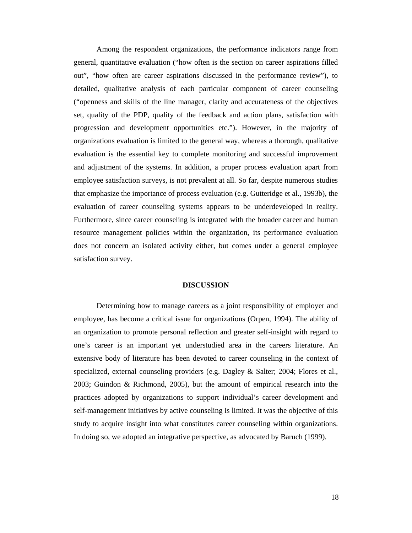Among the respondent organizations, the performance indicators range from general, quantitative evaluation ("how often is the section on career aspirations filled out", "how often are career aspirations discussed in the performance review"), to detailed, qualitative analysis of each particular component of career counseling ("openness and skills of the line manager, clarity and accurateness of the objectives set, quality of the PDP, quality of the feedback and action plans, satisfaction with progression and development opportunities etc."). However, in the majority of organizations evaluation is limited to the general way, whereas a thorough, qualitative evaluation is the essential key to complete monitoring and successful improvement and adjustment of the systems. In addition, a proper process evaluation apart from employee satisfaction surveys, is not prevalent at all. So far, despite numerous studies that emphasize the importance of process evaluation (e.g. Gutteridge et al., 1993b), the evaluation of career counseling systems appears to be underdeveloped in reality. Furthermore, since career counseling is integrated with the broader career and human resource management policies within the organization, its performance evaluation does not concern an isolated activity either, but comes under a general employee satisfaction survey.

#### **DISCUSSION**

Determining how to manage careers as a joint responsibility of employer and employee, has become a critical issue for organizations (Orpen, 1994). The ability of an organization to promote personal reflection and greater self-insight with regard to one's career is an important yet understudied area in the careers literature. An extensive body of literature has been devoted to career counseling in the context of specialized, external counseling providers (e.g. Dagley & Salter; 2004; Flores et al., 2003; Guindon & Richmond, 2005), but the amount of empirical research into the practices adopted by organizations to support individual's career development and self-management initiatives by active counseling is limited. It was the objective of this study to acquire insight into what constitutes career counseling within organizations. In doing so, we adopted an integrative perspective, as advocated by Baruch (1999).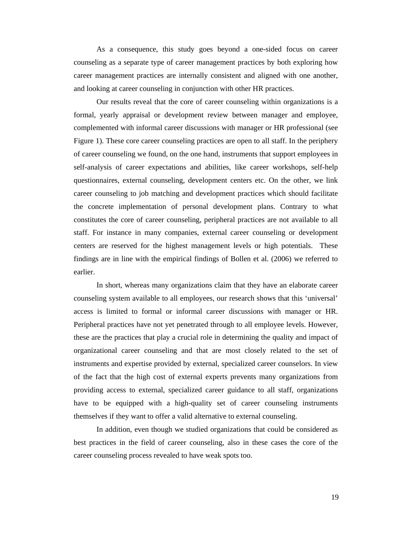As a consequence, this study goes beyond a one-sided focus on career counseling as a separate type of career management practices by both exploring how career management practices are internally consistent and aligned with one another, and looking at career counseling in conjunction with other HR practices.

Our results reveal that the core of career counseling within organizations is a formal, yearly appraisal or development review between manager and employee, complemented with informal career discussions with manager or HR professional (see Figure 1). These core career counseling practices are open to all staff. In the periphery of career counseling we found, on the one hand, instruments that support employees in self-analysis of career expectations and abilities, like career workshops, self-help questionnaires, external counseling, development centers etc. On the other, we link career counseling to job matching and development practices which should facilitate the concrete implementation of personal development plans. Contrary to what constitutes the core of career counseling, peripheral practices are not available to all staff. For instance in many companies, external career counseling or development centers are reserved for the highest management levels or high potentials. These findings are in line with the empirical findings of Bollen et al. (2006) we referred to earlier.

In short, whereas many organizations claim that they have an elaborate career counseling system available to all employees, our research shows that this 'universal' access is limited to formal or informal career discussions with manager or HR. Peripheral practices have not yet penetrated through to all employee levels. However, these are the practices that play a crucial role in determining the quality and impact of organizational career counseling and that are most closely related to the set of instruments and expertise provided by external, specialized career counselors. In view of the fact that the high cost of external experts prevents many organizations from providing access to external, specialized career guidance to all staff, organizations have to be equipped with a high-quality set of career counseling instruments themselves if they want to offer a valid alternative to external counseling.

In addition, even though we studied organizations that could be considered as best practices in the field of career counseling, also in these cases the core of the career counseling process revealed to have weak spots too.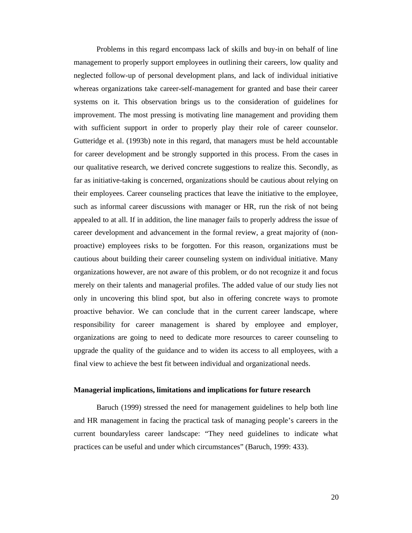Problems in this regard encompass lack of skills and buy-in on behalf of line management to properly support employees in outlining their careers, low quality and neglected follow-up of personal development plans, and lack of individual initiative whereas organizations take career-self-management for granted and base their career systems on it. This observation brings us to the consideration of guidelines for improvement. The most pressing is motivating line management and providing them with sufficient support in order to properly play their role of career counselor. Gutteridge et al. (1993b) note in this regard, that managers must be held accountable for career development and be strongly supported in this process. From the cases in our qualitative research, we derived concrete suggestions to realize this. Secondly, as far as initiative-taking is concerned, organizations should be cautious about relying on their employees. Career counseling practices that leave the initiative to the employee, such as informal career discussions with manager or HR, run the risk of not being appealed to at all. If in addition, the line manager fails to properly address the issue of career development and advancement in the formal review, a great majority of (nonproactive) employees risks to be forgotten. For this reason, organizations must be cautious about building their career counseling system on individual initiative. Many organizations however, are not aware of this problem, or do not recognize it and focus merely on their talents and managerial profiles. The added value of our study lies not only in uncovering this blind spot, but also in offering concrete ways to promote proactive behavior. We can conclude that in the current career landscape, where responsibility for career management is shared by employee and employer, organizations are going to need to dedicate more resources to career counseling to upgrade the quality of the guidance and to widen its access to all employees, with a final view to achieve the best fit between individual and organizational needs.

#### **Managerial implications, limitations and implications for future research**

Baruch (1999) stressed the need for management guidelines to help both line and HR management in facing the practical task of managing people's careers in the current boundaryless career landscape: "They need guidelines to indicate what practices can be useful and under which circumstances" (Baruch, 1999: 433).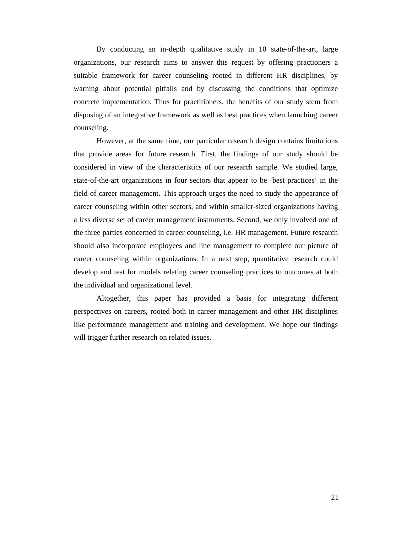By conducting an in-depth qualitative study in 10 state-of-the-art, large organizations, our research aims to answer this request by offering practioners a suitable framework for career counseling rooted in different HR disciplines, by warning about potential pitfalls and by discussing the conditions that optimize concrete implementation. Thus for practitioners, the benefits of our study stem from disposing of an integrative framework as well as best practices when launching career counseling.

However, at the same time, our particular research design contains limitations that provide areas for future research. First, the findings of our study should be considered in view of the characteristics of our research sample. We studied large, state-of-the-art organizations in four sectors that appear to be 'best practices' in the field of career management. This approach urges the need to study the appearance of career counseling within other sectors, and within smaller-sized organizations having a less diverse set of career management instruments. Second, we only involved one of the three parties concerned in career counseling, i.e. HR management. Future research should also incorporate employees and line management to complete our picture of career counseling within organizations. In a next step, quantitative research could develop and test for models relating career counseling practices to outcomes at both the individual and organizational level.

Altogether, this paper has provided a basis for integrating different perspectives on careers, rooted both in career management and other HR disciplines like performance management and training and development. We hope our findings will trigger further research on related issues.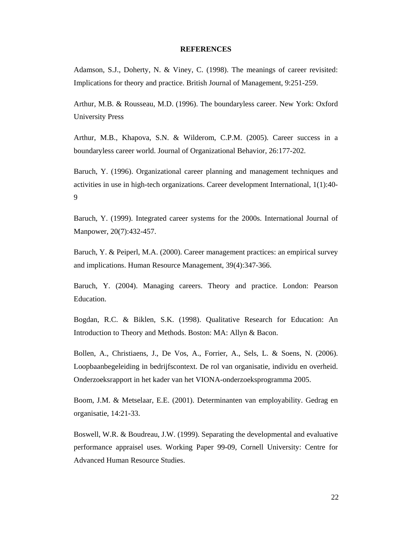#### **REFERENCES**

Adamson, S.J., Doherty, N. & Viney, C. (1998). The meanings of career revisited: Implications for theory and practice. British Journal of Management, 9:251-259.

Arthur, M.B. & Rousseau, M.D. (1996). The boundaryless career. New York: Oxford University Press

Arthur, M.B., Khapova, S.N. & Wilderom, C.P.M. (2005). Career success in a boundaryless career world. Journal of Organizational Behavior, 26:177-202.

Baruch, Y. (1996). Organizational career planning and management techniques and activities in use in high-tech organizations. Career development International, 1(1):40- 9

Baruch, Y. (1999). Integrated career systems for the 2000s. International Journal of Manpower, 20(7):432-457.

Baruch, Y. & Peiperl, M.A. (2000). Career management practices: an empirical survey and implications. Human Resource Management, 39(4):347-366.

Baruch, Y. (2004). Managing careers. Theory and practice. London: Pearson Education.

Bogdan, R.C. & Biklen, S.K. (1998). Qualitative Research for Education: An Introduction to Theory and Methods. Boston: MA: Allyn & Bacon.

Bollen, A., Christiaens, J., De Vos, A., Forrier, A., Sels, L. & Soens, N. (2006). Loopbaanbegeleiding in bedrijfscontext. De rol van organisatie, individu en overheid. Onderzoeksrapport in het kader van het VIONA-onderzoeksprogramma 2005.

Boom, J.M. & Metselaar, E.E. (2001). Determinanten van employability. Gedrag en organisatie, 14:21-33.

Boswell, W.R. & Boudreau, J.W. (1999). Separating the developmental and evaluative performance appraisel uses. Working Paper 99-09, Cornell University: Centre for Advanced Human Resource Studies.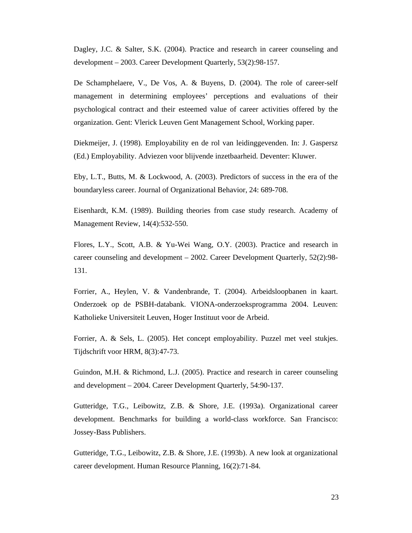Dagley, J.C. & Salter, S.K. (2004). Practice and research in career counseling and development – 2003. Career Development Quarterly, 53(2):98-157.

De Schamphelaere, V., De Vos, A. & Buyens, D. (2004). The role of career-self management in determining employees' perceptions and evaluations of their psychological contract and their esteemed value of career activities offered by the organization. Gent: Vlerick Leuven Gent Management School, Working paper.

Diekmeijer, J. (1998). Employability en de rol van leidinggevenden. In: J. Gaspersz (Ed.) Employability. Adviezen voor blijvende inzetbaarheid. Deventer: Kluwer.

Eby, L.T., Butts, M. & Lockwood, A. (2003). Predictors of success in the era of the boundaryless career. Journal of Organizational Behavior, 24: 689-708.

Eisenhardt, K.M. (1989). Building theories from case study research. Academy of Management Review, 14(4):532-550.

Flores, L.Y., Scott, A.B. & Yu-Wei Wang, O.Y. (2003). Practice and research in career counseling and development – 2002. Career Development Quarterly, 52(2):98- 131.

Forrier, A., Heylen, V. & Vandenbrande, T. (2004). Arbeidsloopbanen in kaart. Onderzoek op de PSBH-databank. VIONA-onderzoeksprogramma 2004. Leuven: Katholieke Universiteit Leuven, Hoger Instituut voor de Arbeid.

Forrier, A. & Sels, L. (2005). Het concept employability. Puzzel met veel stukjes. Tijdschrift voor HRM, 8(3):47-73.

Guindon, M.H. & Richmond, L.J. (2005). Practice and research in career counseling and development – 2004. Career Development Quarterly, 54:90-137.

Gutteridge, T.G., Leibowitz, Z.B. & Shore, J.E. (1993a). Organizational career development. Benchmarks for building a world-class workforce. San Francisco: Jossey-Bass Publishers.

Gutteridge, T.G., Leibowitz, Z.B. & Shore, J.E. (1993b). A new look at organizational career development. Human Resource Planning, 16(2):71-84.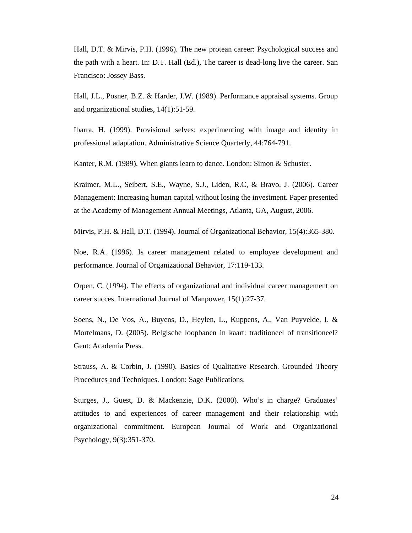Hall, D.T. & Mirvis, P.H. (1996). The new protean career: Psychological success and the path with a heart. In: D.T. Hall (Ed.), The career is dead-long live the career. San Francisco: Jossey Bass.

Hall, J.L., Posner, B.Z. & Harder, J.W. (1989). Performance appraisal systems. Group and organizational studies, 14(1):51-59.

Ibarra, H. (1999). Provisional selves: experimenting with image and identity in professional adaptation. Administrative Science Quarterly, 44:764-791.

Kanter, R.M. (1989). When giants learn to dance. London: Simon & Schuster.

Kraimer, M.L., Seibert, S.E., Wayne, S.J., Liden, R.C, & Bravo, J. (2006). Career Management: Increasing human capital without losing the investment. Paper presented at the Academy of Management Annual Meetings, Atlanta, GA, August, 2006.

Mirvis, P.H. & Hall, D.T. (1994). Journal of Organizational Behavior, 15(4):365-380.

Noe, R.A. (1996). Is career management related to employee development and performance. Journal of Organizational Behavior, 17:119-133.

Orpen, C. (1994). The effects of organizational and individual career management on career succes. International Journal of Manpower, 15(1):27-37.

Soens, N., De Vos, A., Buyens, D., Heylen, L., Kuppens, A., Van Puyvelde, I. & Mortelmans, D. (2005). Belgische loopbanen in kaart: traditioneel of transitioneel? Gent: Academia Press.

Strauss, A. & Corbin, J. (1990). Basics of Qualitative Research. Grounded Theory Procedures and Techniques. London: Sage Publications.

Sturges, J., Guest, D. & Mackenzie, D.K. (2000). Who's in charge? Graduates' attitudes to and experiences of career management and their relationship with organizational commitment. European Journal of Work and Organizational Psychology, 9(3):351-370.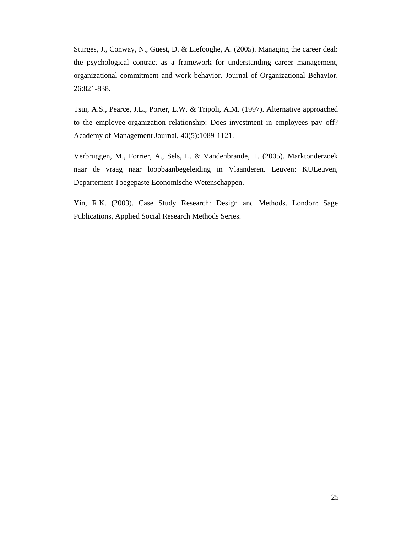Sturges, J., Conway, N., Guest, D. & Liefooghe, A. (2005). Managing the career deal: the psychological contract as a framework for understanding career management, organizational commitment and work behavior. Journal of Organizational Behavior, 26:821-838.

Tsui, A.S., Pearce, J.L., Porter, L.W. & Tripoli, A.M. (1997). Alternative approached to the employee-organization relationship: Does investment in employees pay off? Academy of Management Journal, 40(5):1089-1121.

Verbruggen, M., Forrier, A., Sels, L. & Vandenbrande, T. (2005). Marktonderzoek naar de vraag naar loopbaanbegeleiding in Vlaanderen. Leuven: KULeuven, Departement Toegepaste Economische Wetenschappen.

Yin, R.K. (2003). Case Study Research: Design and Methods. London: Sage Publications, Applied Social Research Methods Series.